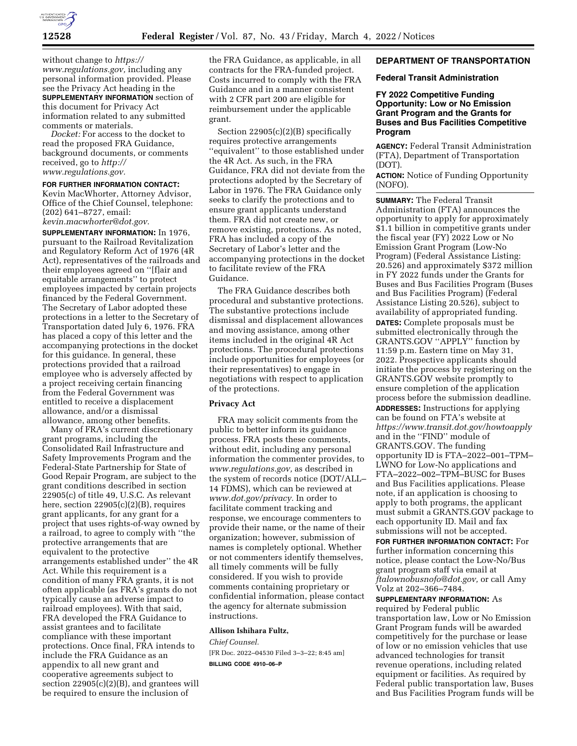

without change to *[https://](https://www.regulations.gov) [www.regulations.gov,](https://www.regulations.gov)* including any personal information provided. Please see the Privacy Act heading in the **SUPPLEMENTARY INFORMATION** section of this document for Privacy Act information related to any submitted comments or materials.

*Docket:* For access to the docket to read the proposed FRA Guidance, background documents, or comments received, go to *[http://](http://www.regulations.gov) [www.regulations.gov.](http://www.regulations.gov)* 

### **FOR FURTHER INFORMATION CONTACT:**

Kevin MacWhorter, Attorney Advisor, Office of the Chief Counsel, telephone: (202) 641–8727, email: *[kevin.macwhorter@dot.gov.](mailto:kevin.macwhorter@dot.gov)* 

**SUPPLEMENTARY INFORMATION:** In 1976, pursuant to the Railroad Revitalization and Regulatory Reform Act of 1976 (4R Act), representatives of the railroads and their employees agreed on ''[f]air and equitable arrangements'' to protect employees impacted by certain projects financed by the Federal Government. The Secretary of Labor adopted these protections in a letter to the Secretary of Transportation dated July 6, 1976. FRA has placed a copy of this letter and the accompanying protections in the docket for this guidance. In general, these protections provided that a railroad employee who is adversely affected by a project receiving certain financing from the Federal Government was entitled to receive a displacement allowance, and/or a dismissal allowance, among other benefits.

Many of FRA's current discretionary grant programs, including the Consolidated Rail Infrastructure and Safety Improvements Program and the Federal-State Partnership for State of Good Repair Program, are subject to the grant conditions described in section 22905(c) of title 49, U.S.C. As relevant here, section 22905(c)(2)(B), requires grant applicants, for any grant for a project that uses rights-of-way owned by a railroad, to agree to comply with ''the protective arrangements that are equivalent to the protective arrangements established under'' the 4R Act. While this requirement is a condition of many FRA grants, it is not often applicable (as FRA's grants do not typically cause an adverse impact to railroad employees). With that said, FRA developed the FRA Guidance to assist grantees and to facilitate compliance with these important protections. Once final, FRA intends to include the FRA Guidance as an appendix to all new grant and cooperative agreements subject to section 22905(c)(2)(B), and grantees will be required to ensure the inclusion of

the FRA Guidance, as applicable, in all contracts for the FRA-funded project. Costs incurred to comply with the FRA Guidance and in a manner consistent with 2 CFR part 200 are eligible for reimbursement under the applicable grant.

Section 22905(c)(2)(B) specifically requires protective arrangements ''equivalent'' to those established under the 4R Act. As such, in the FRA Guidance, FRA did not deviate from the protections adopted by the Secretary of Labor in 1976. The FRA Guidance only seeks to clarify the protections and to ensure grant applicants understand them. FRA did not create new, or remove existing, protections. As noted, FRA has included a copy of the Secretary of Labor's letter and the accompanying protections in the docket to facilitate review of the FRA Guidance.

The FRA Guidance describes both procedural and substantive protections. The substantive protections include dismissal and displacement allowances and moving assistance, among other items included in the original 4R Act protections. The procedural protections include opportunities for employees (or their representatives) to engage in negotiations with respect to application of the protections.

# **Privacy Act**

FRA may solicit comments from the public to better inform its guidance process. FRA posts these comments, without edit, including any personal information the commenter provides, to *[www.regulations.gov,](http://www.regulations.gov)* as described in the system of records notice (DOT/ALL– 14 FDMS), which can be reviewed at *[www.dot.gov/privacy.](http://www.dot.gov/privacy)* In order to facilitate comment tracking and response, we encourage commenters to provide their name, or the name of their organization; however, submission of names is completely optional. Whether or not commenters identify themselves, all timely comments will be fully considered. If you wish to provide comments containing proprietary or confidential information, please contact the agency for alternate submission instructions.

### **Allison Ishihara Fultz,**

*Chief Counsel.* 

[FR Doc. 2022–04530 Filed 3–3–22; 8:45 am] **BILLING CODE 4910–06–P** 

# **DEPARTMENT OF TRANSPORTATION**

# **Federal Transit Administration**

**FY 2022 Competitive Funding Opportunity: Low or No Emission Grant Program and the Grants for Buses and Bus Facilities Competitive Program** 

**AGENCY:** Federal Transit Administration (FTA), Department of Transportation (DOT).

**ACTION:** Notice of Funding Opportunity (NOFO).

**SUMMARY:** The Federal Transit Administration (FTA) announces the opportunity to apply for approximately \$1.1 billion in competitive grants under the fiscal year (FY) 2022 Low or No Emission Grant Program (Low-No Program) (Federal Assistance Listing: 20.526) and approximately \$372 million in FY 2022 funds under the Grants for Buses and Bus Facilities Program (Buses and Bus Facilities Program) (Federal Assistance Listing 20.526), subject to availability of appropriated funding. **DATES:** Complete proposals must be submitted electronically through the GRANTS.GOV ''APPLY'' function by 11:59 p.m. Eastern time on May 31, 2022. Prospective applicants should initiate the process by registering on the GRANTS.GOV website promptly to ensure completion of the application process before the submission deadline. **ADDRESSES:** Instructions for applying can be found on FTA's website at *<https://www.transit.dot.gov/howtoapply>*  and in the ''FIND'' module of GRANTS.GOV. The funding opportunity ID is FTA–2022–001–TPM– LWNO for Low-No applications and FTA–2022–002–TPM–BUSC for Buses and Bus Facilities applications. Please note, if an application is choosing to apply to both programs, the applicant must submit a GRANTS.GOV package to each opportunity ID. Mail and fax submissions will not be accepted.

**FOR FURTHER INFORMATION CONTACT:** For further information concerning this notice, please contact the Low-No/Bus grant program staff via email at *[ftalownobusnofo@dot.gov,](mailto:ftalownobusnofo@dot.gov)* or call Amy Volz at 202–366–7484.

**SUPPLEMENTARY INFORMATION:** As required by Federal public transportation law, Low or No Emission Grant Program funds will be awarded competitively for the purchase or lease of low or no emission vehicles that use advanced technologies for transit revenue operations, including related equipment or facilities. As required by Federal public transportation law, Buses and Bus Facilities Program funds will be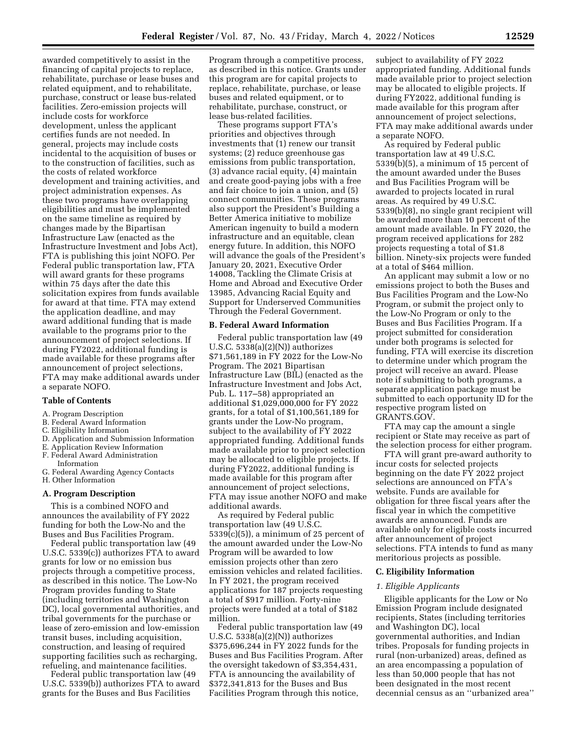awarded competitively to assist in the financing of capital projects to replace, rehabilitate, purchase or lease buses and related equipment, and to rehabilitate, purchase, construct or lease bus-related facilities. Zero-emission projects will include costs for workforce development, unless the applicant certifies funds are not needed. In general, projects may include costs incidental to the acquisition of buses or to the construction of facilities, such as the costs of related workforce development and training activities, and project administration expenses. As these two programs have overlapping eligibilities and must be implemented on the same timeline as required by changes made by the Bipartisan Infrastructure Law (enacted as the Infrastructure Investment and Jobs Act), FTA is publishing this joint NOFO. Per Federal public transportation law, FTA will award grants for these programs within 75 days after the date this solicitation expires from funds available for award at that time. FTA may extend the application deadline, and may award additional funding that is made available to the programs prior to the announcement of project selections. If during FY2022, additional funding is made available for these programs after announcement of project selections, FTA may make additional awards under a separate NOFO.

## **Table of Contents**

#### A. Program Description

- B. Federal Award Information
- C. Eligibility Information
- D. Application and Submission Information
- E. Application Review Information F. Federal Award Administration
- 
- Information
- G. Federal Awarding Agency Contacts H. Other Information

#### **A. Program Description**

This is a combined NOFO and announces the availability of FY 2022 funding for both the Low-No and the Buses and Bus Facilities Program.

Federal public transportation law (49 U.S.C. 5339(c)) authorizes FTA to award grants for low or no emission bus projects through a competitive process, as described in this notice. The Low-No Program provides funding to State (including territories and Washington DC), local governmental authorities, and tribal governments for the purchase or lease of zero-emission and low-emission transit buses, including acquisition, construction, and leasing of required supporting facilities such as recharging, refueling, and maintenance facilities.

Federal public transportation law (49 U.S.C. 5339(b)) authorizes FTA to award grants for the Buses and Bus Facilities

Program through a competitive process, as described in this notice. Grants under this program are for capital projects to replace, rehabilitate, purchase, or lease buses and related equipment, or to rehabilitate, purchase, construct, or lease bus-related facilities.

These programs support FTA's priorities and objectives through investments that (1) renew our transit systems; (2) reduce greenhouse gas emissions from public transportation, (3) advance racial equity, (4) maintain and create good-paying jobs with a free and fair choice to join a union, and (5) connect communities. These programs also support the President's Building a Better America initiative to mobilize American ingenuity to build a modern infrastructure and an equitable, clean energy future. In addition, this NOFO will advance the goals of the President's January 20, 2021, Executive Order 14008, Tackling the Climate Crisis at Home and Abroad and Executive Order 13985, Advancing Racial Equity and Support for Underserved Communities Through the Federal Government.

## **B. Federal Award Information**

Federal public transportation law (49 U.S.C.  $5338(a)(2)(N)$ ) authorizes \$71,561,189 in FY 2022 for the Low-No Program. The 2021 Bipartisan Infrastructure Law (BIL) (enacted as the Infrastructure Investment and Jobs Act, Pub. L. 117–58) appropriated an additional \$1,029,000,000 for FY 2022 grants, for a total of \$1,100,561,189 for grants under the Low-No program, subject to the availability of FY 2022 appropriated funding. Additional funds made available prior to project selection may be allocated to eligible projects. If during FY2022, additional funding is made available for this program after announcement of project selections, FTA may issue another NOFO and make additional awards.

As required by Federal public transportation law (49 U.S.C.  $5339(c)(5)$ , a minimum of 25 percent of the amount awarded under the Low-No Program will be awarded to low emission projects other than zero emission vehicles and related facilities. In FY 2021, the program received applications for 187 projects requesting a total of \$917 million. Forty-nine projects were funded at a total of \$182 million.

Federal public transportation law (49 U.S.C.  $5338(a)(2)(N)$ ) authorizes \$375,696,244 in FY 2022 funds for the Buses and Bus Facilities Program. After the oversight takedown of \$3,354,431, FTA is announcing the availability of \$372,341,813 for the Buses and Bus Facilities Program through this notice,

subject to availability of FY 2022 appropriated funding. Additional funds made available prior to project selection may be allocated to eligible projects. If during FY2022, additional funding is made available for this program after announcement of project selections, FTA may make additional awards under a separate NOFO.

As required by Federal public transportation law at 49 U.S.C. 5339(b)(5), a minimum of 15 percent of the amount awarded under the Buses and Bus Facilities Program will be awarded to projects located in rural areas. As required by 49 U.S.C. 5339(b)(8), no single grant recipient will be awarded more than 10 percent of the amount made available. In FY 2020, the program received applications for 282 projects requesting a total of \$1.8 billion. Ninety-six projects were funded at a total of \$464 million.

An applicant may submit a low or no emissions project to both the Buses and Bus Facilities Program and the Low-No Program, or submit the project only to the Low-No Program or only to the Buses and Bus Facilities Program. If a project submitted for consideration under both programs is selected for funding, FTA will exercise its discretion to determine under which program the project will receive an award. Please note if submitting to both programs, a separate application package must be submitted to each opportunity ID for the respective program listed on GRANTS.GOV.

FTA may cap the amount a single recipient or State may receive as part of the selection process for either program.

FTA will grant pre-award authority to incur costs for selected projects beginning on the date FY 2022 project selections are announced on FTA's website. Funds are available for obligation for three fiscal years after the fiscal year in which the competitive awards are announced. Funds are available only for eligible costs incurred after announcement of project selections. FTA intends to fund as many meritorious projects as possible.

# **C. Eligibility Information**

## *1. Eligible Applicants*

Eligible applicants for the Low or No Emission Program include designated recipients, States (including territories and Washington DC), local governmental authorities, and Indian tribes. Proposals for funding projects in rural (non-urbanized) areas, defined as an area encompassing a population of less than 50,000 people that has not been designated in the most recent decennial census as an ''urbanized area''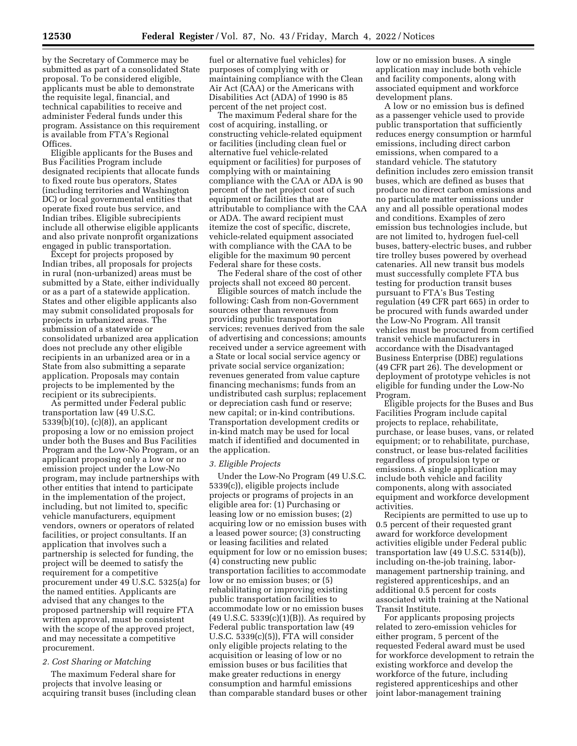by the Secretary of Commerce may be submitted as part of a consolidated State proposal. To be considered eligible, applicants must be able to demonstrate the requisite legal, financial, and technical capabilities to receive and administer Federal funds under this program. Assistance on this requirement is available from FTA's Regional Offices.

Eligible applicants for the Buses and Bus Facilities Program include designated recipients that allocate funds to fixed route bus operators, States (including territories and Washington DC) or local governmental entities that operate fixed route bus service, and Indian tribes. Eligible subrecipients include all otherwise eligible applicants and also private nonprofit organizations engaged in public transportation.

Except for projects proposed by Indian tribes, all proposals for projects in rural (non-urbanized) areas must be submitted by a State, either individually or as a part of a statewide application. States and other eligible applicants also may submit consolidated proposals for projects in urbanized areas. The submission of a statewide or consolidated urbanized area application does not preclude any other eligible recipients in an urbanized area or in a State from also submitting a separate application. Proposals may contain projects to be implemented by the recipient or its subrecipients.

As permitted under Federal public transportation law (49 U.S.C. 5339(b)(10), (c)(8)), an applicant proposing a low or no emission project under both the Buses and Bus Facilities Program and the Low-No Program, or an applicant proposing only a low or no emission project under the Low-No program, may include partnerships with other entities that intend to participate in the implementation of the project, including, but not limited to, specific vehicle manufacturers, equipment vendors, owners or operators of related facilities, or project consultants. If an application that involves such a partnership is selected for funding, the project will be deemed to satisfy the requirement for a competitive procurement under 49 U.S.C. 5325(a) for the named entities. Applicants are advised that any changes to the proposed partnership will require FTA written approval, must be consistent with the scope of the approved project, and may necessitate a competitive procurement.

# *2. Cost Sharing or Matching*

The maximum Federal share for projects that involve leasing or acquiring transit buses (including clean fuel or alternative fuel vehicles) for purposes of complying with or maintaining compliance with the Clean Air Act (CAA) or the Americans with Disabilities Act (ADA) of 1990 is 85 percent of the net project cost.

The maximum Federal share for the cost of acquiring, installing, or constructing vehicle-related equipment or facilities (including clean fuel or alternative fuel vehicle-related equipment or facilities) for purposes of complying with or maintaining compliance with the CAA or ADA is 90 percent of the net project cost of such equipment or facilities that are attributable to compliance with the CAA or ADA. The award recipient must itemize the cost of specific, discrete, vehicle-related equipment associated with compliance with the CAA to be eligible for the maximum 90 percent Federal share for these costs.

The Federal share of the cost of other projects shall not exceed 80 percent.

Eligible sources of match include the following: Cash from non-Government sources other than revenues from providing public transportation services; revenues derived from the sale of advertising and concessions; amounts received under a service agreement with a State or local social service agency or private social service organization; revenues generated from value capture financing mechanisms; funds from an undistributed cash surplus; replacement or depreciation cash fund or reserve; new capital; or in-kind contributions. Transportation development credits or in-kind match may be used for local match if identified and documented in the application.

### *3. Eligible Projects*

Under the Low-No Program (49 U.S.C. 5339(c)), eligible projects include projects or programs of projects in an eligible area for: (1) Purchasing or leasing low or no emission buses; (2) acquiring low or no emission buses with a leased power source; (3) constructing or leasing facilities and related equipment for low or no emission buses; (4) constructing new public transportation facilities to accommodate low or no emission buses; or (5) rehabilitating or improving existing public transportation facilities to accommodate low or no emission buses  $(49 \text{ U.S.C. } 5339(c)(1)(B))$ . As required by Federal public transportation law (49 U.S.C. 5339(c)(5)), FTA will consider only eligible projects relating to the acquisition or leasing of low or no emission buses or bus facilities that make greater reductions in energy consumption and harmful emissions than comparable standard buses or other low or no emission buses. A single application may include both vehicle and facility components, along with associated equipment and workforce development plans.

A low or no emission bus is defined as a passenger vehicle used to provide public transportation that sufficiently reduces energy consumption or harmful emissions, including direct carbon emissions, when compared to a standard vehicle. The statutory definition includes zero emission transit buses, which are defined as buses that produce no direct carbon emissions and no particulate matter emissions under any and all possible operational modes and conditions. Examples of zero emission bus technologies include, but are not limited to, hydrogen fuel-cell buses, battery-electric buses, and rubber tire trolley buses powered by overhead catenaries. All new transit bus models must successfully complete FTA bus testing for production transit buses pursuant to FTA's Bus Testing regulation (49 CFR part 665) in order to be procured with funds awarded under the Low-No Program. All transit vehicles must be procured from certified transit vehicle manufacturers in accordance with the Disadvantaged Business Enterprise (DBE) regulations (49 CFR part 26). The development or deployment of prototype vehicles is not eligible for funding under the Low-No Program.

Eligible projects for the Buses and Bus Facilities Program include capital projects to replace, rehabilitate, purchase, or lease buses, vans, or related equipment; or to rehabilitate, purchase, construct, or lease bus-related facilities regardless of propulsion type or emissions. A single application may include both vehicle and facility components, along with associated equipment and workforce development activities.

Recipients are permitted to use up to 0.5 percent of their requested grant award for workforce development activities eligible under Federal public transportation law (49 U.S.C. 5314(b)), including on-the-job training, labormanagement partnership training, and registered apprenticeships, and an additional 0.5 percent for costs associated with training at the National Transit Institute.

For applicants proposing projects related to zero-emission vehicles for either program, 5 percent of the requested Federal award must be used for workforce development to retrain the existing workforce and develop the workforce of the future, including registered apprenticeships and other joint labor-management training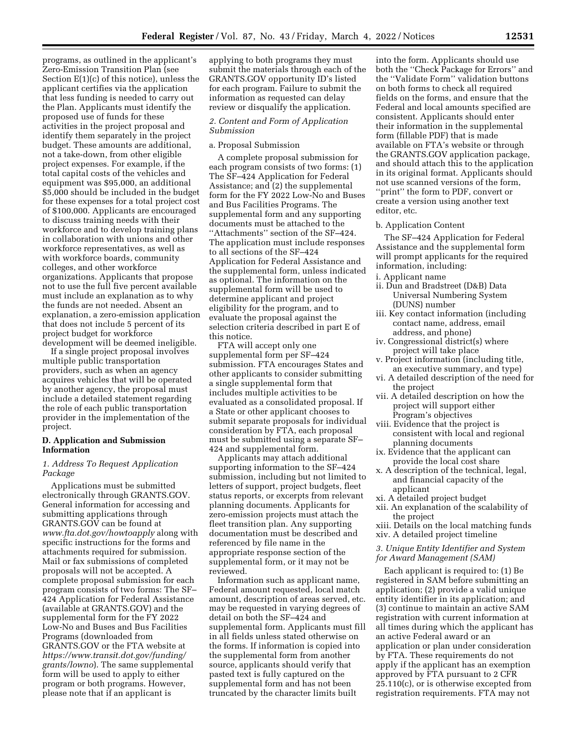programs, as outlined in the applicant's Zero-Emission Transition Plan (see Section  $E(1)(c)$  of this notice), unless the applicant certifies via the application that less funding is needed to carry out the Plan. Applicants must identify the proposed use of funds for these activities in the project proposal and identify them separately in the project budget. These amounts are additional, not a take-down, from other eligible project expenses. For example, if the total capital costs of the vehicles and equipment was \$95,000, an additional \$5,000 should be included in the budget for these expenses for a total project cost of \$100,000. Applicants are encouraged to discuss training needs with their workforce and to develop training plans in collaboration with unions and other workforce representatives, as well as with workforce boards, community colleges, and other workforce organizations. Applicants that propose not to use the full five percent available must include an explanation as to why the funds are not needed. Absent an explanation, a zero-emission application that does not include 5 percent of its project budget for workforce development will be deemed ineligible.

If a single project proposal involves multiple public transportation providers, such as when an agency acquires vehicles that will be operated by another agency, the proposal must include a detailed statement regarding the role of each public transportation provider in the implementation of the project.

# **D. Application and Submission Information**

# *1. Address To Request Application Package*

Applications must be submitted electronically through GRANTS.GOV. General information for accessing and submitting applications through GRANTS.GOV can be found at *[www.fta.dot.gov/howtoapply](http://www.fta.dot.gov/howtoapply)* along with specific instructions for the forms and attachments required for submission. Mail or fax submissions of completed proposals will not be accepted. A complete proposal submission for each program consists of two forms: The SF– 424 Application for Federal Assistance (available at GRANTS.GOV) and the supplemental form for the FY 2022 Low-No and Buses and Bus Facilities Programs (downloaded from GRANTS.GOV or the FTA website at *[https://www.transit.dot.gov/funding/](https://www.transit.dot.gov/funding/grants/lowno) [grants/lowno](https://www.transit.dot.gov/funding/grants/lowno)*). The same supplemental form will be used to apply to either program or both programs. However, please note that if an applicant is

applying to both programs they must submit the materials through each of the GRANTS.GOV opportunity ID's listed for each program. Failure to submit the information as requested can delay review or disqualify the application.

# *2. Content and Form of Application Submission*

# a. Proposal Submission

A complete proposal submission for each program consists of two forms: (1) The SF–424 Application for Federal Assistance; and (2) the supplemental form for the FY 2022 Low-No and Buses and Bus Facilities Programs. The supplemental form and any supporting documents must be attached to the ''Attachments'' section of the SF–424. The application must include responses to all sections of the SF–424 Application for Federal Assistance and the supplemental form, unless indicated as optional. The information on the supplemental form will be used to determine applicant and project eligibility for the program, and to evaluate the proposal against the selection criteria described in part E of this notice.

FTA will accept only one supplemental form per SF–424 submission. FTA encourages States and other applicants to consider submitting a single supplemental form that includes multiple activities to be evaluated as a consolidated proposal. If a State or other applicant chooses to submit separate proposals for individual consideration by FTA, each proposal must be submitted using a separate SF– 424 and supplemental form.

Applicants may attach additional supporting information to the SF–424 submission, including but not limited to letters of support, project budgets, fleet status reports, or excerpts from relevant planning documents. Applicants for zero-emission projects must attach the fleet transition plan. Any supporting documentation must be described and referenced by file name in the appropriate response section of the supplemental form, or it may not be reviewed.

Information such as applicant name, Federal amount requested, local match amount, description of areas served, etc. may be requested in varying degrees of detail on both the SF–424 and supplemental form. Applicants must fill in all fields unless stated otherwise on the forms. If information is copied into the supplemental form from another source, applicants should verify that pasted text is fully captured on the supplemental form and has not been truncated by the character limits built

into the form. Applicants should use both the ''Check Package for Errors'' and the ''Validate Form'' validation buttons on both forms to check all required fields on the forms, and ensure that the Federal and local amounts specified are consistent. Applicants should enter their information in the supplemental form (fillable PDF) that is made available on FTA's website or through the GRANTS.GOV application package, and should attach this to the application in its original format. Applicants should not use scanned versions of the form, ''print'' the form to PDF, convert or create a version using another text editor, etc.

#### b. Application Content

The SF–424 Application for Federal Assistance and the supplemental form will prompt applicants for the required information, including:

- i. Applicant name
- ii. Dun and Bradstreet (D&B) Data Universal Numbering System (DUNS) number
- iii. Key contact information (including contact name, address, email address, and phone)
- iv. Congressional district(s) where project will take place
- v. Project information (including title, an executive summary, and type)
- vi. A detailed description of the need for the project
- vii. A detailed description on how the project will support either Program's objectives
- viii. Evidence that the project is consistent with local and regional planning documents
- ix. Evidence that the applicant can provide the local cost share
- x. A description of the technical, legal, and financial capacity of the applicant
- xi. A detailed project budget
- xii. An explanation of the scalability of the project
- xiii. Details on the local matching funds xiv. A detailed project timeline

*3. Unique Entity Identifier and System for Award Management (SAM)* 

Each applicant is required to: (1) Be registered in SAM before submitting an application; (2) provide a valid unique entity identifier in its application; and (3) continue to maintain an active SAM registration with current information at all times during which the applicant has an active Federal award or an application or plan under consideration by FTA. These requirements do not apply if the applicant has an exemption approved by FTA pursuant to 2 CFR 25.110(c), or is otherwise excepted from registration requirements. FTA may not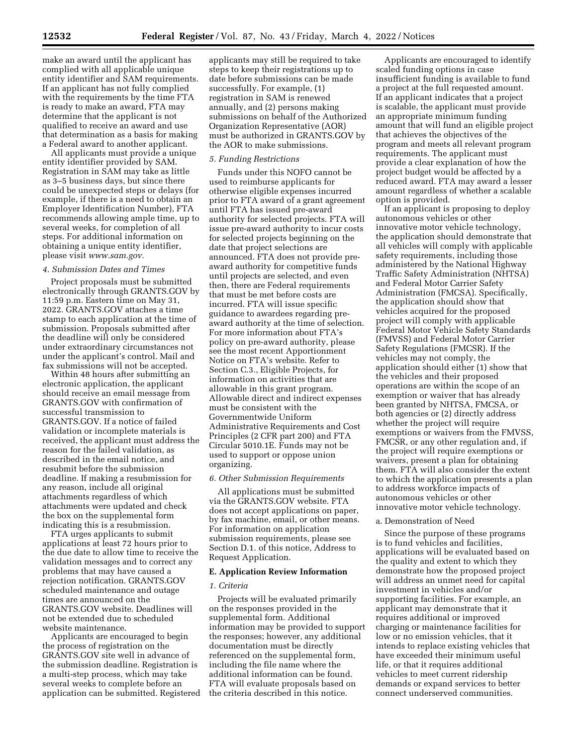make an award until the applicant has complied with all applicable unique entity identifier and SAM requirements. If an applicant has not fully complied with the requirements by the time FTA is ready to make an award, FTA may determine that the applicant is not qualified to receive an award and use that determination as a basis for making a Federal award to another applicant.

All applicants must provide a unique entity identifier provided by SAM. Registration in SAM may take as little as 3–5 business days, but since there could be unexpected steps or delays (for example, if there is a need to obtain an Employer Identification Number), FTA recommends allowing ample time, up to several weeks, for completion of all steps. For additional information on obtaining a unique entity identifier, please visit *[www.sam.gov.](http://www.sam.gov)* 

# *4. Submission Dates and Times*

Project proposals must be submitted electronically through GRANTS.GOV by 11:59 p.m. Eastern time on May 31, 2022. GRANTS.GOV attaches a time stamp to each application at the time of submission. Proposals submitted after the deadline will only be considered under extraordinary circumstances not under the applicant's control. Mail and fax submissions will not be accepted.

Within 48 hours after submitting an electronic application, the applicant should receive an email message from GRANTS.GOV with confirmation of successful transmission to GRANTS.GOV. If a notice of failed validation or incomplete materials is received, the applicant must address the reason for the failed validation, as described in the email notice, and resubmit before the submission deadline. If making a resubmission for any reason, include all original attachments regardless of which attachments were updated and check the box on the supplemental form indicating this is a resubmission.

FTA urges applicants to submit applications at least 72 hours prior to the due date to allow time to receive the validation messages and to correct any problems that may have caused a rejection notification. GRANTS.GOV scheduled maintenance and outage times are announced on the GRANTS.GOV website. Deadlines will not be extended due to scheduled website maintenance.

Applicants are encouraged to begin the process of registration on the GRANTS.GOV site well in advance of the submission deadline. Registration is a multi-step process, which may take several weeks to complete before an application can be submitted. Registered

applicants may still be required to take steps to keep their registrations up to date before submissions can be made successfully. For example, (1) registration in SAM is renewed annually, and (2) persons making submissions on behalf of the Authorized Organization Representative (AOR) must be authorized in GRANTS.GOV by the AOR to make submissions.

# *5. Funding Restrictions*

Funds under this NOFO cannot be used to reimburse applicants for otherwise eligible expenses incurred prior to FTA award of a grant agreement until FTA has issued pre-award authority for selected projects. FTA will issue pre-award authority to incur costs for selected projects beginning on the date that project selections are announced. FTA does not provide preaward authority for competitive funds until projects are selected, and even then, there are Federal requirements that must be met before costs are incurred. FTA will issue specific guidance to awardees regarding preaward authority at the time of selection. For more information about FTA's policy on pre-award authority, please see the most recent Apportionment Notice on FTA's website. Refer to Section C.3., Eligible Projects, for information on activities that are allowable in this grant program. Allowable direct and indirect expenses must be consistent with the Governmentwide Uniform Administrative Requirements and Cost Principles (2 CFR part 200) and FTA Circular 5010.1E. Funds may not be used to support or oppose union organizing.

#### *6. Other Submission Requirements*

All applications must be submitted via the GRANTS.GOV website. FTA does not accept applications on paper, by fax machine, email, or other means. For information on application submission requirements, please see Section D.1. of this notice, Address to Request Application.

#### **E. Application Review Information**

#### *1. Criteria*

Projects will be evaluated primarily on the responses provided in the supplemental form. Additional information may be provided to support the responses; however, any additional documentation must be directly referenced on the supplemental form, including the file name where the additional information can be found. FTA will evaluate proposals based on the criteria described in this notice.

Applicants are encouraged to identify scaled funding options in case insufficient funding is available to fund a project at the full requested amount. If an applicant indicates that a project is scalable, the applicant must provide an appropriate minimum funding amount that will fund an eligible project that achieves the objectives of the program and meets all relevant program requirements. The applicant must provide a clear explanation of how the project budget would be affected by a reduced award. FTA may award a lesser amount regardless of whether a scalable option is provided.

If an applicant is proposing to deploy autonomous vehicles or other innovative motor vehicle technology, the application should demonstrate that all vehicles will comply with applicable safety requirements, including those administered by the National Highway Traffic Safety Administration (NHTSA) and Federal Motor Carrier Safety Administration (FMCSA). Specifically, the application should show that vehicles acquired for the proposed project will comply with applicable Federal Motor Vehicle Safety Standards (FMVSS) and Federal Motor Carrier Safety Regulations (FMCSR). If the vehicles may not comply, the application should either (1) show that the vehicles and their proposed operations are within the scope of an exemption or waiver that has already been granted by NHTSA, FMCSA, or both agencies or (2) directly address whether the project will require exemptions or waivers from the FMVSS, FMCSR, or any other regulation and, if the project will require exemptions or waivers, present a plan for obtaining them. FTA will also consider the extent to which the application presents a plan to address workforce impacts of autonomous vehicles or other innovative motor vehicle technology.

### a. Demonstration of Need

Since the purpose of these programs is to fund vehicles and facilities, applications will be evaluated based on the quality and extent to which they demonstrate how the proposed project will address an unmet need for capital investment in vehicles and/or supporting facilities. For example, an applicant may demonstrate that it requires additional or improved charging or maintenance facilities for low or no emission vehicles, that it intends to replace existing vehicles that have exceeded their minimum useful life, or that it requires additional vehicles to meet current ridership demands or expand services to better connect underserved communities.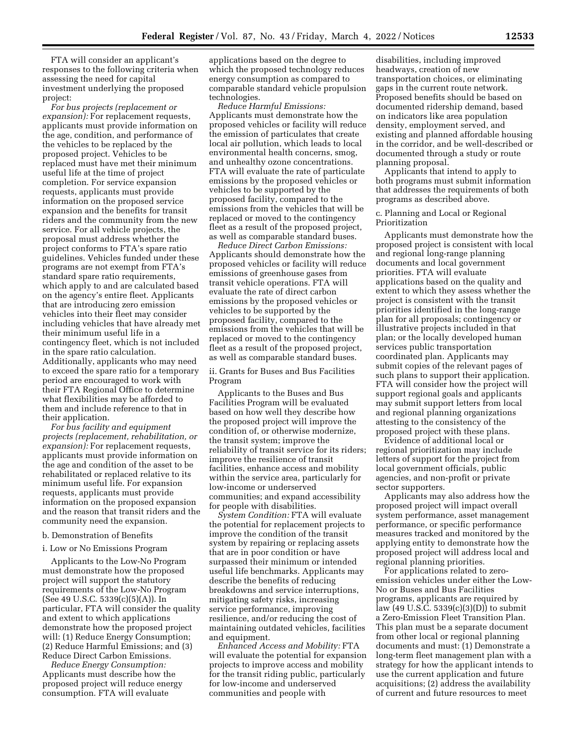FTA will consider an applicant's responses to the following criteria when assessing the need for capital investment underlying the proposed project:

*For bus projects (replacement or expansion):* For replacement requests, applicants must provide information on the age, condition, and performance of the vehicles to be replaced by the proposed project. Vehicles to be replaced must have met their minimum useful life at the time of project completion. For service expansion requests, applicants must provide information on the proposed service expansion and the benefits for transit riders and the community from the new service. For all vehicle projects, the proposal must address whether the project conforms to FTA's spare ratio guidelines. Vehicles funded under these programs are not exempt from FTA's standard spare ratio requirements, which apply to and are calculated based on the agency's entire fleet. Applicants that are introducing zero emission vehicles into their fleet may consider including vehicles that have already met their minimum useful life in a contingency fleet, which is not included in the spare ratio calculation. Additionally, applicants who may need to exceed the spare ratio for a temporary period are encouraged to work with their FTA Regional Office to determine what flexibilities may be afforded to them and include reference to that in their application.

*For bus facility and equipment projects (replacement, rehabilitation, or expansion):* For replacement requests, applicants must provide information on the age and condition of the asset to be rehabilitated or replaced relative to its minimum useful life. For expansion requests, applicants must provide information on the proposed expansion and the reason that transit riders and the community need the expansion.

#### b. Demonstration of Benefits

#### i. Low or No Emissions Program

Applicants to the Low-No Program must demonstrate how the proposed project will support the statutory requirements of the Low-No Program (See 49 U.S.C. 5339(c)(5)(A)). In particular, FTA will consider the quality and extent to which applications demonstrate how the proposed project will: (1) Reduce Energy Consumption; (2) Reduce Harmful Emissions; and (3) Reduce Direct Carbon Emissions.

*Reduce Energy Consumption:*  Applicants must describe how the proposed project will reduce energy consumption. FTA will evaluate

applications based on the degree to which the proposed technology reduces energy consumption as compared to comparable standard vehicle propulsion technologies.

*Reduce Harmful Emissions:*  Applicants must demonstrate how the proposed vehicles or facility will reduce the emission of particulates that create local air pollution, which leads to local environmental health concerns, smog, and unhealthy ozone concentrations. FTA will evaluate the rate of particulate emissions by the proposed vehicles or vehicles to be supported by the proposed facility, compared to the emissions from the vehicles that will be replaced or moved to the contingency fleet as a result of the proposed project, as well as comparable standard buses.

*Reduce Direct Carbon Emissions:*  Applicants should demonstrate how the proposed vehicles or facility will reduce emissions of greenhouse gases from transit vehicle operations. FTA will evaluate the rate of direct carbon emissions by the proposed vehicles or vehicles to be supported by the proposed facility, compared to the emissions from the vehicles that will be replaced or moved to the contingency fleet as a result of the proposed project, as well as comparable standard buses.

ii. Grants for Buses and Bus Facilities Program

Applicants to the Buses and Bus Facilities Program will be evaluated based on how well they describe how the proposed project will improve the condition of, or otherwise modernize, the transit system; improve the reliability of transit service for its riders; improve the resilience of transit facilities, enhance access and mobility within the service area, particularly for low-income or underserved communities; and expand accessibility for people with disabilities.

*System Condition:* FTA will evaluate the potential for replacement projects to improve the condition of the transit system by repairing or replacing assets that are in poor condition or have surpassed their minimum or intended useful life benchmarks. Applicants may describe the benefits of reducing breakdowns and service interruptions, mitigating safety risks, increasing service performance, improving resilience, and/or reducing the cost of maintaining outdated vehicles, facilities and equipment.

*Enhanced Access and Mobility:* FTA will evaluate the potential for expansion projects to improve access and mobility for the transit riding public, particularly for low-income and underserved communities and people with

disabilities, including improved headways, creation of new transportation choices, or eliminating gaps in the current route network. Proposed benefits should be based on documented ridership demand, based on indicators like area population density, employment served, and existing and planned affordable housing in the corridor, and be well-described or documented through a study or route planning proposal.

Applicants that intend to apply to both programs must submit information that addresses the requirements of both programs as described above.

c. Planning and Local or Regional Prioritization

Applicants must demonstrate how the proposed project is consistent with local and regional long-range planning documents and local government priorities. FTA will evaluate applications based on the quality and extent to which they assess whether the project is consistent with the transit priorities identified in the long-range plan for all proposals; contingency or illustrative projects included in that plan; or the locally developed human services public transportation coordinated plan. Applicants may submit copies of the relevant pages of such plans to support their application. FTA will consider how the project will support regional goals and applicants may submit support letters from local and regional planning organizations attesting to the consistency of the proposed project with these plans.

Evidence of additional local or regional prioritization may include letters of support for the project from local government officials, public agencies, and non-profit or private sector supporters.

Applicants may also address how the proposed project will impact overall system performance, asset management performance, or specific performance measures tracked and monitored by the applying entity to demonstrate how the proposed project will address local and regional planning priorities.

For applications related to zeroemission vehicles under either the Low-No or Buses and Bus Facilities programs, applicants are required by law (49 U.S.C. 5339(c)(3)(D)) to submit a Zero-Emission Fleet Transition Plan. This plan must be a separate document from other local or regional planning documents and must: (1) Demonstrate a long-term fleet management plan with a strategy for how the applicant intends to use the current application and future acquisitions; (2) address the availability of current and future resources to meet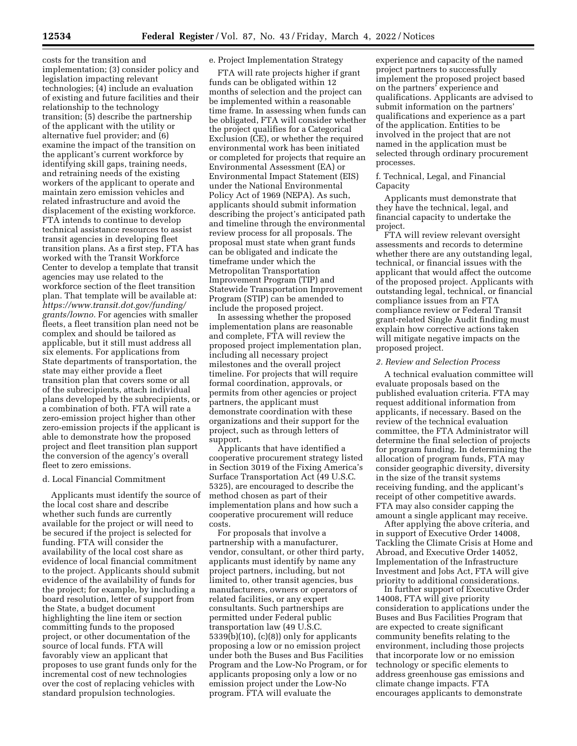costs for the transition and implementation; (3) consider policy and legislation impacting relevant technologies; (4) include an evaluation of existing and future facilities and their relationship to the technology transition; (5) describe the partnership of the applicant with the utility or alternative fuel provider; and (6) examine the impact of the transition on the applicant's current workforce by identifying skill gaps, training needs, and retraining needs of the existing workers of the applicant to operate and maintain zero emission vehicles and related infrastructure and avoid the displacement of the existing workforce. FTA intends to continue to develop technical assistance resources to assist transit agencies in developing fleet transition plans. As a first step, FTA has worked with the Transit Workforce Center to develop a template that transit agencies may use related to the workforce section of the fleet transition plan. That template will be available at: *[https://www.transit.dot.gov/funding/](https://www.transit.dot.gov/funding/grants/lowno) [grants/lowno.](https://www.transit.dot.gov/funding/grants/lowno)* For agencies with smaller fleets, a fleet transition plan need not be complex and should be tailored as applicable, but it still must address all six elements. For applications from State departments of transportation, the state may either provide a fleet transition plan that covers some or all of the subrecipients, attach individual plans developed by the subrecipients, or a combination of both. FTA will rate a zero-emission project higher than other zero-emission projects if the applicant is able to demonstrate how the proposed project and fleet transition plan support the conversion of the agency's overall fleet to zero emissions.

#### d. Local Financial Commitment

Applicants must identify the source of the local cost share and describe whether such funds are currently available for the project or will need to be secured if the project is selected for funding. FTA will consider the availability of the local cost share as evidence of local financial commitment to the project. Applicants should submit evidence of the availability of funds for the project; for example, by including a board resolution, letter of support from the State, a budget document highlighting the line item or section committing funds to the proposed project, or other documentation of the source of local funds. FTA will favorably view an applicant that proposes to use grant funds only for the incremental cost of new technologies over the cost of replacing vehicles with standard propulsion technologies.

### e. Project Implementation Strategy

FTA will rate projects higher if grant funds can be obligated within 12 months of selection and the project can be implemented within a reasonable time frame. In assessing when funds can be obligated, FTA will consider whether the project qualifies for a Categorical Exclusion (CE), or whether the required environmental work has been initiated or completed for projects that require an Environmental Assessment (EA) or Environmental Impact Statement (EIS) under the National Environmental Policy Act of 1969 (NEPA). As such, applicants should submit information describing the project's anticipated path and timeline through the environmental review process for all proposals. The proposal must state when grant funds can be obligated and indicate the timeframe under which the Metropolitan Transportation Improvement Program (TIP) and Statewide Transportation Improvement Program (STIP) can be amended to include the proposed project.

In assessing whether the proposed implementation plans are reasonable and complete, FTA will review the proposed project implementation plan, including all necessary project milestones and the overall project timeline. For projects that will require formal coordination, approvals, or permits from other agencies or project partners, the applicant must demonstrate coordination with these organizations and their support for the project, such as through letters of support.

Applicants that have identified a cooperative procurement strategy listed in Section 3019 of the Fixing America's Surface Transportation Act (49 U.S.C. 5325), are encouraged to describe the method chosen as part of their implementation plans and how such a cooperative procurement will reduce costs.

For proposals that involve a partnership with a manufacturer, vendor, consultant, or other third party, applicants must identify by name any project partners, including, but not limited to, other transit agencies, bus manufacturers, owners or operators of related facilities, or any expert consultants. Such partnerships are permitted under Federal public transportation law (49 U.S.C. 5339(b)(10), (c)(8)) only for applicants proposing a low or no emission project under both the Buses and Bus Facilities Program and the Low-No Program, or for applicants proposing only a low or no emission project under the Low-No program. FTA will evaluate the

experience and capacity of the named project partners to successfully implement the proposed project based on the partners' experience and qualifications. Applicants are advised to submit information on the partners' qualifications and experience as a part of the application. Entities to be involved in the project that are not named in the application must be selected through ordinary procurement processes.

f. Technical, Legal, and Financial Capacity

Applicants must demonstrate that they have the technical, legal, and financial capacity to undertake the project.

FTA will review relevant oversight assessments and records to determine whether there are any outstanding legal, technical, or financial issues with the applicant that would affect the outcome of the proposed project. Applicants with outstanding legal, technical, or financial compliance issues from an FTA compliance review or Federal Transit grant-related Single Audit finding must explain how corrective actions taken will mitigate negative impacts on the proposed project.

### *2. Review and Selection Process*

A technical evaluation committee will evaluate proposals based on the published evaluation criteria. FTA may request additional information from applicants, if necessary. Based on the review of the technical evaluation committee, the FTA Administrator will determine the final selection of projects for program funding. In determining the allocation of program funds, FTA may consider geographic diversity, diversity in the size of the transit systems receiving funding, and the applicant's receipt of other competitive awards. FTA may also consider capping the amount a single applicant may receive.

After applying the above criteria, and in support of Executive Order 14008, Tackling the Climate Crisis at Home and Abroad, and Executive Order 14052, Implementation of the Infrastructure Investment and Jobs Act, FTA will give priority to additional considerations.

In further support of Executive Order 14008, FTA will give priority consideration to applications under the Buses and Bus Facilities Program that are expected to create significant community benefits relating to the environment, including those projects that incorporate low or no emission technology or specific elements to address greenhouse gas emissions and climate change impacts. FTA encourages applicants to demonstrate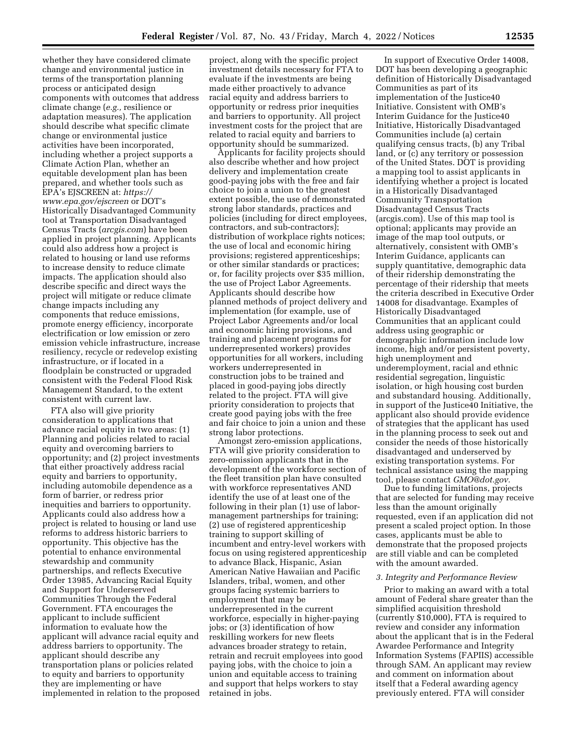whether they have considered climate change and environmental justice in terms of the transportation planning process or anticipated design components with outcomes that address climate change (*e.g.,* resilience or adaptation measures). The application should describe what specific climate change or environmental justice activities have been incorporated, including whether a project supports a Climate Action Plan, whether an equitable development plan has been prepared, and whether tools such as EPA's EJSCREEN at: *[https://](https://www.epa.gov/ejscreen) [www.epa.gov/ejscreen](https://www.epa.gov/ejscreen)* or DOT's Historically Disadvantaged Community tool at Transportation Disadvantaged Census Tracts (*arcgis.com*) have been applied in project planning. Applicants could also address how a project is related to housing or land use reforms to increase density to reduce climate impacts. The application should also describe specific and direct ways the project will mitigate or reduce climate change impacts including any components that reduce emissions, promote energy efficiency, incorporate electrification or low emission or zero emission vehicle infrastructure, increase resiliency, recycle or redevelop existing infrastructure, or if located in a floodplain be constructed or upgraded consistent with the Federal Flood Risk Management Standard, to the extent consistent with current law.

FTA also will give priority consideration to applications that advance racial equity in two areas: (1) Planning and policies related to racial equity and overcoming barriers to opportunity; and (2) project investments that either proactively address racial equity and barriers to opportunity, including automobile dependence as a form of barrier, or redress prior inequities and barriers to opportunity. Applicants could also address how a project is related to housing or land use reforms to address historic barriers to opportunity. This objective has the potential to enhance environmental stewardship and community partnerships, and reflects Executive Order 13985, Advancing Racial Equity and Support for Underserved Communities Through the Federal Government. FTA encourages the applicant to include sufficient information to evaluate how the applicant will advance racial equity and address barriers to opportunity. The applicant should describe any transportation plans or policies related to equity and barriers to opportunity they are implementing or have implemented in relation to the proposed

project, along with the specific project investment details necessary for FTA to evaluate if the investments are being made either proactively to advance racial equity and address barriers to opportunity or redress prior inequities and barriers to opportunity. All project investment costs for the project that are related to racial equity and barriers to opportunity should be summarized.

Applicants for facility projects should also describe whether and how project delivery and implementation create good-paying jobs with the free and fair choice to join a union to the greatest extent possible, the use of demonstrated strong labor standards, practices and policies (including for direct employees, contractors, and sub-contractors); distribution of workplace rights notices; the use of local and economic hiring provisions; registered apprenticeships; or other similar standards or practices; or, for facility projects over \$35 million, the use of Project Labor Agreements. Applicants should describe how planned methods of project delivery and implementation (for example, use of Project Labor Agreements and/or local and economic hiring provisions, and training and placement programs for underrepresented workers) provides opportunities for all workers, including workers underrepresented in construction jobs to be trained and placed in good-paying jobs directly related to the project. FTA will give priority consideration to projects that create good paying jobs with the free and fair choice to join a union and these strong labor protections.

Amongst zero-emission applications, FTA will give priority consideration to zero-emission applicants that in the development of the workforce section of the fleet transition plan have consulted with workforce representatives AND identify the use of at least one of the following in their plan (1) use of labormanagement partnerships for training; (2) use of registered apprenticeship training to support skilling of incumbent and entry-level workers with focus on using registered apprenticeship to advance Black, Hispanic, Asian American Native Hawaiian and Pacific Islanders, tribal, women, and other groups facing systemic barriers to employment that may be underrepresented in the current workforce, especially in higher-paying jobs; or (3) identification of how reskilling workers for new fleets advances broader strategy to retain, retrain and recruit employees into good paying jobs, with the choice to join a union and equitable access to training and support that helps workers to stay retained in jobs.

In support of Executive Order 14008, DOT has been developing a geographic definition of Historically Disadvantaged Communities as part of its implementation of the Justice40 Initiative. Consistent with OMB's Interim Guidance for the Justice40 Initiative, Historically Disadvantaged Communities include (a) certain qualifying census tracts, (b) any Tribal land, or (c) any territory or possession of the United States. DOT is providing a mapping tool to assist applicants in identifying whether a project is located in a Historically Disadvantaged Community Transportation Disadvantaged Census Tracts (arcgis.com)*.* Use of this map tool is optional; applicants may provide an image of the map tool outputs, or alternatively, consistent with OMB's Interim Guidance, applicants can supply quantitative, demographic data of their ridership demonstrating the percentage of their ridership that meets the criteria described in Executive Order 14008 for disadvantage. Examples of Historically Disadvantaged Communities that an applicant could address using geographic or demographic information include low income, high and/or persistent poverty, high unemployment and underemployment, racial and ethnic residential segregation, linguistic isolation, or high housing cost burden and substandard housing. Additionally, in support of the Justice40 Initiative, the applicant also should provide evidence of strategies that the applicant has used in the planning process to seek out and consider the needs of those historically disadvantaged and underserved by existing transportation systems. For technical assistance using the mapping tool, please contact *[GMO@dot.gov.](mailto:GMO@dot.gov)* 

Due to funding limitations, projects that are selected for funding may receive less than the amount originally requested, even if an application did not present a scaled project option. In those cases, applicants must be able to demonstrate that the proposed projects are still viable and can be completed with the amount awarded.

### *3. Integrity and Performance Review*

Prior to making an award with a total amount of Federal share greater than the simplified acquisition threshold (currently \$10,000), FTA is required to review and consider any information about the applicant that is in the Federal Awardee Performance and Integrity Information Systems (FAPIIS) accessible through SAM. An applicant may review and comment on information about itself that a Federal awarding agency previously entered. FTA will consider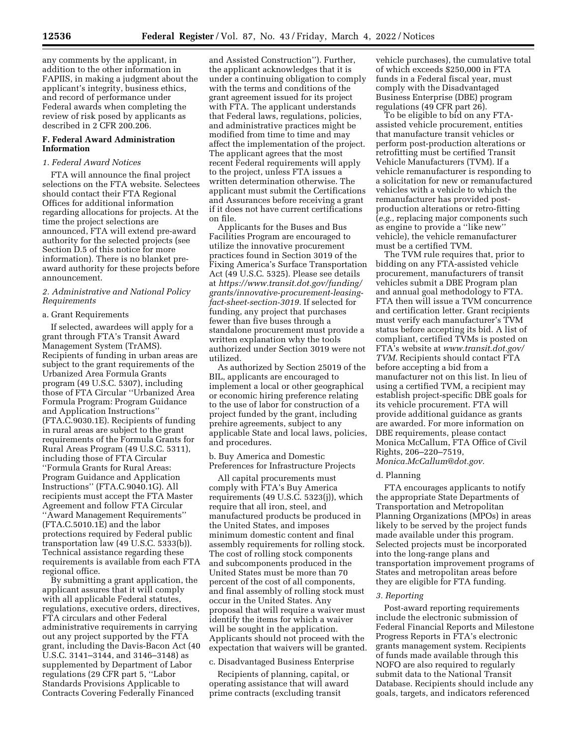any comments by the applicant, in addition to the other information in FAPIIS, in making a judgment about the applicant's integrity, business ethics, and record of performance under Federal awards when completing the review of risk posed by applicants as described in 2 CFR 200.206.

# **F. Federal Award Administration Information**

# *1. Federal Award Notices*

FTA will announce the final project selections on the FTA website. Selectees should contact their FTA Regional Offices for additional information regarding allocations for projects. At the time the project selections are announced, FTA will extend pre-award authority for the selected projects (see Section D.5 of this notice for more information). There is no blanket preaward authority for these projects before announcement.

# *2. Administrative and National Policy Requirements*

## a. Grant Requirements

If selected, awardees will apply for a grant through FTA's Transit Award Management System (TrAMS). Recipients of funding in urban areas are subject to the grant requirements of the Urbanized Area Formula Grants program (49 U.S.C. 5307), including those of FTA Circular ''Urbanized Area Formula Program: Program Guidance and Application Instructions'' (FTA.C.9030.1E). Recipients of funding in rural areas are subject to the grant requirements of the Formula Grants for Rural Areas Program (49 U.S.C. 5311), including those of FTA Circular ''Formula Grants for Rural Areas: Program Guidance and Application Instructions'' (FTA.C.9040.1G). All recipients must accept the FTA Master Agreement and follow FTA Circular ''Award Management Requirements'' (FTA.C.5010.1E) and the labor protections required by Federal public transportation law (49 U.S.C. 5333(b)). Technical assistance regarding these requirements is available from each FTA regional office.

By submitting a grant application, the applicant assures that it will comply with all applicable Federal statutes, regulations, executive orders, directives, FTA circulars and other Federal administrative requirements in carrying out any project supported by the FTA grant, including the Davis-Bacon Act (40 U.S.C. 3141–3144, and 3146–3148) as supplemented by Department of Labor regulations (29 CFR part 5, ''Labor Standards Provisions Applicable to Contracts Covering Federally Financed

and Assisted Construction''). Further, the applicant acknowledges that it is under a continuing obligation to comply with the terms and conditions of the grant agreement issued for its project with FTA. The applicant understands that Federal laws, regulations, policies, and administrative practices might be modified from time to time and may affect the implementation of the project. The applicant agrees that the most recent Federal requirements will apply to the project, unless FTA issues a written determination otherwise. The applicant must submit the Certifications and Assurances before receiving a grant if it does not have current certifications on file.

Applicants for the Buses and Bus Facilities Program are encouraged to utilize the innovative procurement practices found in Section 3019 of the Fixing America's Surface Transportation Act (49 U.S.C. 5325). Please see details at *[https://www.transit.dot.gov/funding/](https://www.transit.dot.gov/funding/grants/innovative-procurement-leasing-fact-sheet-section-3019) [grants/innovative-procurement-leasing](https://www.transit.dot.gov/funding/grants/innovative-procurement-leasing-fact-sheet-section-3019)[fact-sheet-section-3019.](https://www.transit.dot.gov/funding/grants/innovative-procurement-leasing-fact-sheet-section-3019)* If selected for funding, any project that purchases fewer than five buses through a standalone procurement must provide a written explanation why the tools authorized under Section 3019 were not utilized.

As authorized by Section 25019 of the BIL, applicants are encouraged to implement a local or other geographical or economic hiring preference relating to the use of labor for construction of a project funded by the grant, including prehire agreements, subject to any applicable State and local laws, policies, and procedures.

b. Buy America and Domestic Preferences for Infrastructure Projects

All capital procurements must comply with FTA's Buy America requirements (49 U.S.C. 5323(j)), which require that all iron, steel, and manufactured products be produced in the United States, and imposes minimum domestic content and final assembly requirements for rolling stock. The cost of rolling stock components and subcomponents produced in the United States must be more than 70 percent of the cost of all components, and final assembly of rolling stock must occur in the United States. Any proposal that will require a waiver must identify the items for which a waiver will be sought in the application. Applicants should not proceed with the expectation that waivers will be granted.

## c. Disadvantaged Business Enterprise

Recipients of planning, capital, or operating assistance that will award prime contracts (excluding transit

vehicle purchases), the cumulative total of which exceeds \$250,000 in FTA funds in a Federal fiscal year, must comply with the Disadvantaged Business Enterprise (DBE) program regulations (49 CFR part 26).

To be eligible to bid on any FTAassisted vehicle procurement, entities that manufacture transit vehicles or perform post-production alterations or retrofitting must be certified Transit Vehicle Manufacturers (TVM). If a vehicle remanufacturer is responding to a solicitation for new or remanufactured vehicles with a vehicle to which the remanufacturer has provided postproduction alterations or retro-fitting (*e.g.,* replacing major components such as engine to provide a ''like new'' vehicle), the vehicle remanufacturer must be a certified TVM.

The TVM rule requires that, prior to bidding on any FTA-assisted vehicle procurement, manufacturers of transit vehicles submit a DBE Program plan and annual goal methodology to FTA. FTA then will issue a TVM concurrence and certification letter. Grant recipients must verify each manufacturer's TVM status before accepting its bid. A list of compliant, certified TVMs is posted on FTA's website at *[www.transit.dot.gov/](http://www.transit.dot.gov/TVM) [TVM.](http://www.transit.dot.gov/TVM)* Recipients should contact FTA before accepting a bid from a manufacturer not on this list. In lieu of using a certified TVM, a recipient may establish project-specific DBE goals for its vehicle procurement. FTA will provide additional guidance as grants are awarded. For more information on DBE requirements, please contact Monica McCallum, FTA Office of Civil Rights, 206–220–7519, *[Monica.McCallum@dot.gov.](mailto:Monica.McCallum@dot.gov)* 

### d. Planning

FTA encourages applicants to notify the appropriate State Departments of Transportation and Metropolitan Planning Organizations (MPOs) in areas likely to be served by the project funds made available under this program. Selected projects must be incorporated into the long-range plans and transportation improvement programs of States and metropolitan areas before they are eligible for FTA funding.

#### *3. Reporting*

Post-award reporting requirements include the electronic submission of Federal Financial Reports and Milestone Progress Reports in FTA's electronic grants management system. Recipients of funds made available through this NOFO are also required to regularly submit data to the National Transit Database. Recipients should include any goals, targets, and indicators referenced